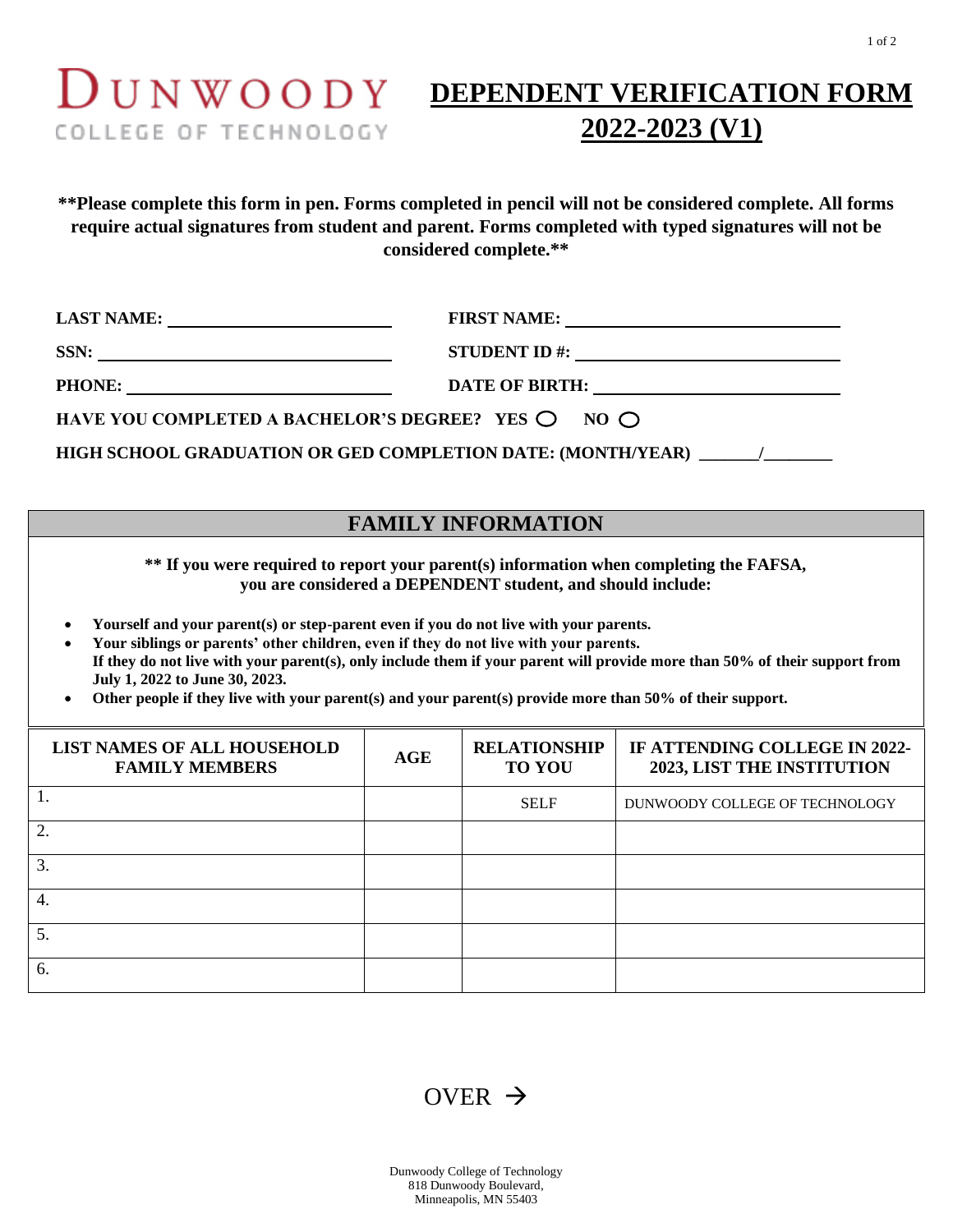# COLLEGE OF TECHNOLOGY

## **DUNWOODY DEPENDENT VERIFICATION FORM 2022-2023 (V1)**

**\*\*Please complete this form in pen. Forms completed in pencil will not be considered complete. All forms require actual signatures from student and parent. Forms completed with typed signatures will not be considered complete.\*\***

| LAST NAME:                                                                    |                                                                                                                                                                                                                                                                                                                    |  |
|-------------------------------------------------------------------------------|--------------------------------------------------------------------------------------------------------------------------------------------------------------------------------------------------------------------------------------------------------------------------------------------------------------------|--|
|                                                                               | STUDENT ID #: $\frac{1}{2}$ $\frac{1}{2}$ $\frac{1}{2}$ $\frac{1}{2}$ $\frac{1}{2}$ $\frac{1}{2}$ $\frac{1}{2}$ $\frac{1}{2}$ $\frac{1}{2}$ $\frac{1}{2}$ $\frac{1}{2}$ $\frac{1}{2}$ $\frac{1}{2}$ $\frac{1}{2}$ $\frac{1}{2}$ $\frac{1}{2}$ $\frac{1}{2}$ $\frac{1}{2}$ $\frac{1}{2}$ $\frac{1}{2}$ $\frac{1}{2$ |  |
|                                                                               | DATE OF BIRTH:                                                                                                                                                                                                                                                                                                     |  |
| HAVE YOU COMPLETED A BACHELOR'S DEGREE? YES $\bigcirc$ NO $\bigcirc$          |                                                                                                                                                                                                                                                                                                                    |  |
| HIGH SCHOOL GRADUATION OR GED COMPLETION DATE: (MONTH/YEAR)<br>$\overline{1}$ |                                                                                                                                                                                                                                                                                                                    |  |

### **FAMILY INFORMATION**

**\*\* If you were required to report your parent(s) information when completing the FAFSA, you are considered a DEPENDENT student, and should include:**

- **Yourself and your parent(s) or step-parent even if you do not live with your parents.**
- **Your siblings or parents' other children, even if they do not live with your parents. If they do not live with your parent(s), only include them if your parent will provide more than 50% of their support from July 1, 2022 to June 30, 2023.**
- **Other people if they live with your parent(s) and your parent(s) provide more than 50% of their support.**

| LIST NAMES OF ALL HOUSEHOLD<br><b>FAMILY MEMBERS</b> | <b>AGE</b> | <b>RELATIONSHIP</b><br><b>TO YOU</b> | IF ATTENDING COLLEGE IN 2022-<br><b>2023, LIST THE INSTITUTION</b> |
|------------------------------------------------------|------------|--------------------------------------|--------------------------------------------------------------------|
|                                                      |            | <b>SELF</b>                          | DUNWOODY COLLEGE OF TECHNOLOGY                                     |
| 2.                                                   |            |                                      |                                                                    |
| 3.                                                   |            |                                      |                                                                    |
| 4.                                                   |            |                                      |                                                                    |
| 5.                                                   |            |                                      |                                                                    |
| 6.                                                   |            |                                      |                                                                    |